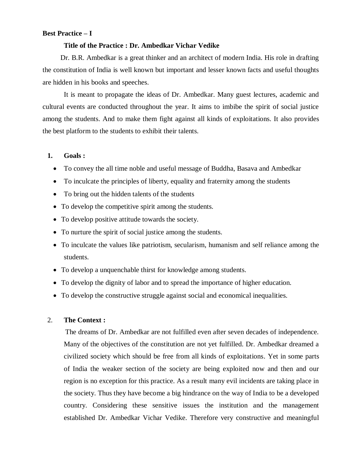# **Best Practice – I**

#### **Title of the Practice : Dr. Ambedkar Vichar Vedike**

 Dr. B.R. Ambedkar is a great thinker and an architect of modern India. His role in drafting the constitution of India is well known but important and lesser known facts and useful thoughts are hidden in his books and speeches.

It is meant to propagate the ideas of Dr. Ambedkar. Many guest lectures, academic and cultural events are conducted throughout the year. It aims to imbibe the spirit of social justice among the students. And to make them fight against all kinds of exploitations. It also provides the best platform to the students to exhibit their talents.

# **1. Goals :**

- To convey the all time noble and useful message of Buddha, Basava and Ambedkar
- To inculcate the principles of liberty, equality and fraternity among the students
- To bring out the hidden talents of the students
- To develop the competitive spirit among the students.
- To develop positive attitude towards the society.
- To nurture the spirit of social justice among the students.
- To inculcate the values like patriotism, secularism, humanism and self reliance among the students.
- To develop a unquenchable thirst for knowledge among students.
- To develop the dignity of labor and to spread the importance of higher education.
- To develop the constructive struggle against social and economical inequalities.

### 2. **The Context :**

 The dreams of Dr. Ambedkar are not fulfilled even after seven decades of independence. Many of the objectives of the constitution are not yet fulfilled. Dr. Ambedkar dreamed a civilized society which should be free from all kinds of exploitations. Yet in some parts of India the weaker section of the society are being exploited now and then and our region is no exception for this practice. As a result many evil incidents are taking place in the society. Thus they have become a big hindrance on the way of India to be a developed country. Considering these sensitive issues the institution and the management established Dr. Ambedkar Vichar Vedike. Therefore very constructive and meaningful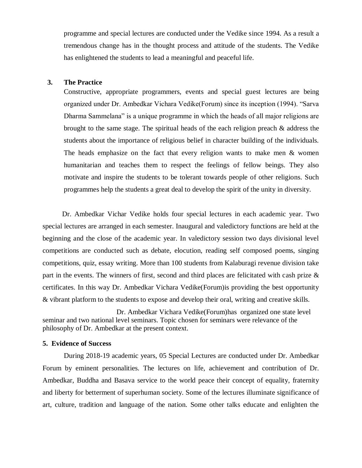programme and special lectures are conducted under the Vedike since 1994. As a result a tremendous change has in the thought process and attitude of the students. The Vedike has enlightened the students to lead a meaningful and peaceful life.

### **3. The Practice**

Constructive, appropriate programmers, events and special guest lectures are being organized under Dr. Ambedkar Vichara Vedike(Forum) since its inception (1994). "Sarva Dharma Sammelana" is a unique programme in which the heads of all major religions are brought to the same stage. The spiritual heads of the each religion preach  $\&$  address the students about the importance of religious belief in character building of the individuals. The heads emphasize on the fact that every religion wants to make men & women humanitarian and teaches them to respect the feelings of fellow beings. They also motivate and inspire the students to be tolerant towards people of other religions. Such programmes help the students a great deal to develop the spirit of the unity in diversity.

 Dr. Ambedkar Vichar Vedike holds four special lectures in each academic year. Two special lectures are arranged in each semester. Inaugural and valedictory functions are held at the beginning and the close of the academic year. In valedictory session two days divisional level competitions are conducted such as debate, elocution, reading self composed poems, singing competitions, quiz, essay writing. More than 100 students from Kalaburagi revenue division take part in the events. The winners of first, second and third places are felicitated with cash prize & certificates. In this way Dr. Ambedkar Vichara Vedike(Forum)is providing the best opportunity & vibrant platform to the students to expose and develop their oral, writing and creative skills.

Dr. Ambedkar Vichara Vedike(Forum)has organized one state level seminar and two national level seminars. Topic chosen for seminars were relevance of the philosophy of Dr. Ambedkar at the present context.

#### **5. Evidence of Success**

During 2018-19 academic years, 05 Special Lectures are conducted under Dr. Ambedkar Forum by eminent personalities. The lectures on life, achievement and contribution of Dr. Ambedkar, Buddha and Basava service to the world peace their concept of equality, fraternity and liberty for betterment of superhuman society. Some of the lectures illuminate significance of art, culture, tradition and language of the nation. Some other talks educate and enlighten the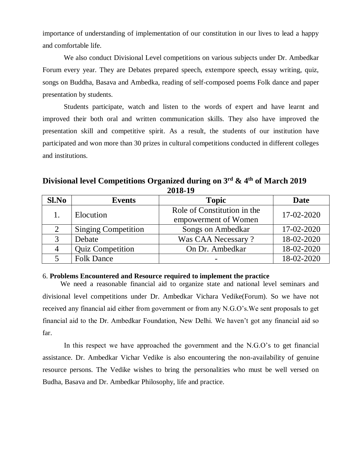importance of understanding of implementation of our constitution in our lives to lead a happy and comfortable life.

We also conduct Divisional Level competitions on various subjects under Dr. Ambedkar Forum every year. They are Debates prepared speech, extempore speech, essay writing, quiz, songs on Buddha, Basava and Ambedka, reading of self-composed poems Folk dance and paper presentation by students.

Students participate, watch and listen to the words of expert and have learnt and improved their both oral and written communication skills. They also have improved the presentation skill and competitive spirit. As a result, the students of our institution have participated and won more than 30 prizes in cultural competitions conducted in different colleges and institutions.

**Divisional level Competitions Organized during on 3rd & 4th of March 2019 2018-19**

| Sl.No         | <b>Events</b>              | <b>Topic</b>                                        | Date       |
|---------------|----------------------------|-----------------------------------------------------|------------|
|               | Elocution                  | Role of Constitution in the<br>empowerment of Women | 17-02-2020 |
| 2             | <b>Singing Competition</b> | Songs on Ambedkar                                   | 17-02-2020 |
| $\mathcal{R}$ | Debate                     | Was CAA Necessary?                                  | 18-02-2020 |
|               | <b>Quiz Competition</b>    | On Dr. Ambedkar                                     | 18-02-2020 |
|               | <b>Folk Dance</b>          |                                                     | 18-02-2020 |

## 6. **Problems Encountered and Resource required to implement the practice**

 We need a reasonable financial aid to organize state and national level seminars and divisional level competitions under Dr. Ambedkar Vichara Vedike(Forum). So we have not received any financial aid either from government or from any N.G.O's.We sent proposals to get financial aid to the Dr. Ambedkar Foundation, New Delhi. We haven't got any financial aid so far.

 In this respect we have approached the government and the N.G.O's to get financial assistance. Dr. Ambedkar Vichar Vedike is also encountering the non-availability of genuine resource persons. The Vedike wishes to bring the personalities who must be well versed on Budha, Basava and Dr. Ambedkar Philosophy, life and practice.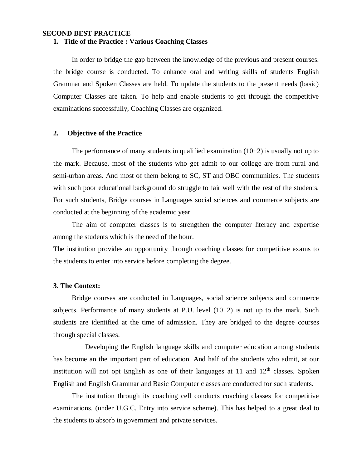#### **SECOND BEST PRACTICE 1. Title of the Practice : Various Coaching Classes**

In order to bridge the gap between the knowledge of the previous and present courses. the bridge course is conducted. To enhance oral and writing skills of students English Grammar and Spoken Classes are held. To update the students to the present needs (basic) Computer Classes are taken. To help and enable students to get through the competitive examinations successfully, Coaching Classes are organized.

# **2. Objective of the Practice**

The performance of many students in qualified examination  $(10+2)$  is usually not up to the mark. Because, most of the students who get admit to our college are from rural and semi-urban areas. And most of them belong to SC, ST and OBC communities. The students with such poor educational background do struggle to fair well with the rest of the students. For such students, Bridge courses in Languages social sciences and commerce subjects are conducted at the beginning of the academic year.

The aim of computer classes is to strengthen the computer literacy and expertise among the students which is the need of the hour.

The institution provides an opportunity through coaching classes for competitive exams to the students to enter into service before completing the degree.

### **3. The Context:**

Bridge courses are conducted in Languages, social science subjects and commerce subjects. Performance of many students at P.U. level  $(10+2)$  is not up to the mark. Such students are identified at the time of admission. They are bridged to the degree courses through special classes.

Developing the English language skills and computer education among students has become an the important part of education. And half of the students who admit, at our institution will not opt English as one of their languages at  $11$  and  $12<sup>th</sup>$  classes. Spoken English and English Grammar and Basic Computer classes are conducted for such students.

The institution through its coaching cell conducts coaching classes for competitive examinations. (under U.G.C. Entry into service scheme). This has helped to a great deal to the students to absorb in government and private services.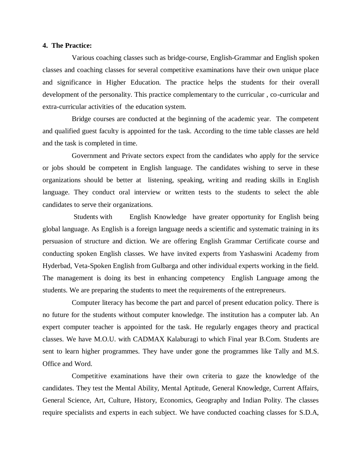### **4. The Practice:**

Various coaching classes such as bridge-course, English-Grammar and English spoken classes and coaching classes for several competitive examinations have their own unique place and significance in Higher Education. The practice helps the students for their overall development of the personality. This practice complementary to the curricular , co-curricular and extra-curricular activities of the education system.

Bridge courses are conducted at the beginning of the academic year. The competent and qualified guest faculty is appointed for the task. According to the time table classes are held and the task is completed in time.

Government and Private sectors expect from the candidates who apply for the service or jobs should be competent in English language. The candidates wishing to serve in these organizations should be better at listening, speaking, writing and reading skills in English language. They conduct oral interview or written tests to the students to select the able candidates to serve their organizations.

Students with English Knowledge have greater opportunity for English being global language. As English is a foreign language needs a scientific and systematic training in its persuasion of structure and diction. We are offering English Grammar Certificate course and conducting spoken English classes. We have invited experts from Yashaswini Academy from Hyderbad, Veta-Spoken English from Gulbarga and other individual experts working in the field. The management is doing its best in enhancing competency English Language among the students. We are preparing the students to meet the requirements of the entrepreneurs.

Computer literacy has become the part and parcel of present education policy. There is no future for the students without computer knowledge. The institution has a computer lab. An expert computer teacher is appointed for the task. He regularly engages theory and practical classes. We have M.O.U. with CADMAX Kalaburagi to which Final year B.Com. Students are sent to learn higher programmes. They have under gone the programmes like Tally and M.S. Office and Word.

Competitive examinations have their own criteria to gaze the knowledge of the candidates. They test the Mental Ability, Mental Aptitude, General Knowledge, Current Affairs, General Science, Art, Culture, History, Economics, Geography and Indian Polity. The classes require specialists and experts in each subject. We have conducted coaching classes for S.D.A,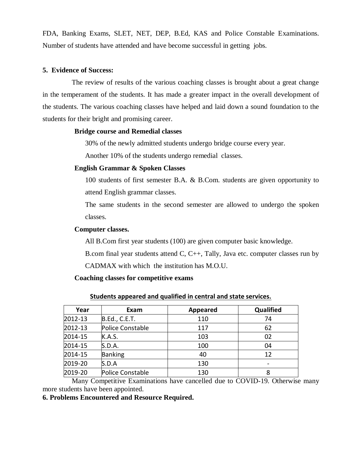FDA, Banking Exams, SLET, NET, DEP, B.Ed, KAS and Police Constable Examinations. Number of students have attended and have become successful in getting jobs.

## **5. Evidence of Success:**

The review of results of the various coaching classes is brought about a great change in the temperament of the students. It has made a greater impact in the overall development of the students. The various coaching classes have helped and laid down a sound foundation to the students for their bright and promising career.

## **Bridge course and Remedial classes**

30% of the newly admitted students undergo bridge course every year.

Another 10% of the students undergo remedial classes.

# **English Grammar & Spoken Classes**

100 students of first semester B.A. & B.Com. students are given opportunity to attend English grammar classes.

The same students in the second semester are allowed to undergo the spoken classes.

## **Computer classes.**

All B.Com first year students (100) are given computer basic knowledge.

B.com final year students attend C, C++, Tally, Java etc. computer classes run by

CADMAX with which the institution has M.O.U.

### **Coaching classes for competitive exams**

| Year    | Exam             | <b>Appeared</b> | Qualified |
|---------|------------------|-----------------|-----------|
| 2012-13 | B.Ed., C.E.T.    | 110             | 74        |
| 2012-13 | Police Constable | 117             | 62        |
| 2014-15 | K.A.S.           | 103             | 02        |
| 2014-15 | S.D.A.           | 100             | 04        |
| 2014-15 | <b>Banking</b>   | 40              | 12        |
| 2019-20 | S.D.A            | 130             |           |
| 2019-20 | Police Constable | 130             | 8         |

### **Students appeared and qualified in central and state services.**

Many Competitive Examinations have cancelled due to COVID-19. Otherwise many more students have been appointed.

## **6. Problems Encountered and Resource Required.**